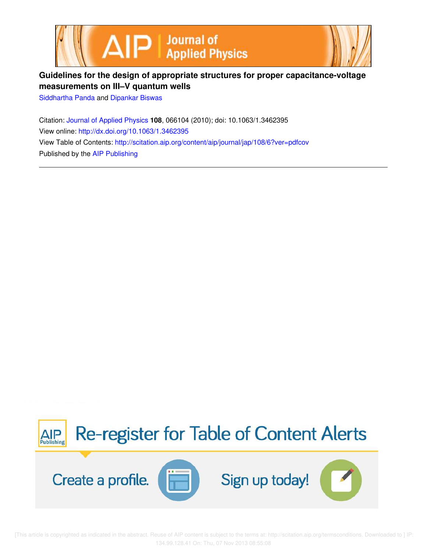



## **Guidelines for the design of appropriate structures for proper capacitance-voltage measurements on III–V quantum wells**

Siddhartha Panda and Dipankar Biswas

Citation: Journal of Applied Physics **108**, 066104 (2010); doi: 10.1063/1.3462395 View online: http://dx.doi.org/10.1063/1.3462395 View Table of Contents: http://scitation.aip.org/content/aip/journal/jap/108/6?ver=pdfcov Published by the AIP Publishing



 [This article is copyrighted as indicated in the abstract. Reuse of AIP content is subject to the terms at: http://scitation.aip.org/termsconditions. Downloaded to ] IP: 134.99.128.41 On: Thu, 07 Nov 2013 08:55:08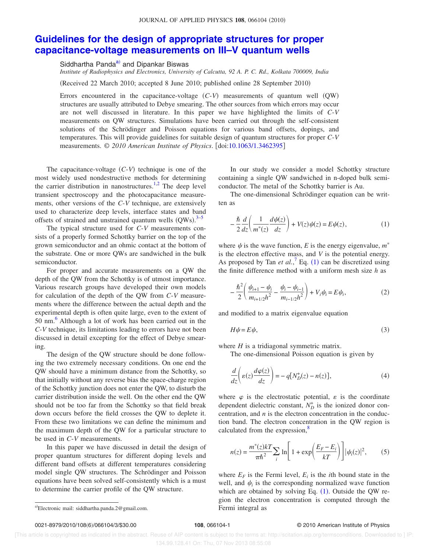## **Guidelines for the design of appropriate structures for proper capacitance-voltage measurements on III–V quantum wells**

Siddhartha Panda<sup>a)</sup> and Dipankar Biswas

*Institute of Radiophysics and Electronics, University of Calcutta, 92 A. P. C. Rd., Kolkata 700009, India*

(Received 22 March 2010; accepted 8 June 2010; published online 28 September 2010)

Errors encountered in the capacitance-voltage  $(C-V)$  measurements of quantum well  $(QW)$ structures are usually attributed to Debye smearing. The other sources from which errors may occur are not well discussed in literature. In this paper we have highlighted the limits of *C*-*V* measurements on QW structures. Simulations have been carried out through the self-consistent solutions of the Schrödinger and Poisson equations for various band offsets, dopings, and temperatures. This will provide guidelines for suitable design of quantum structures for proper *C*-*V* measurements. © 2010 American Institute of Physics. [doi:10.1063/1.3462395]

The capacitance-voltage  $(C-V)$  technique is one of the most widely used nondestructive methods for determining the carrier distribution in nanostructures.<sup>1,2</sup> The deep level transient spectroscopy and the photocapacitance measurements, other versions of the *C*-*V* technique, are extensively used to characterize deep levels, interface states and band offsets of strained and unstrained quantum wells  $(QWs)$ .<sup>3-5</sup>

The typical structure used for *C*-*V* measurements consists of a properly formed Schottky barrier on the top of the grown semiconductor and an ohmic contact at the bottom of the substrate. One or more QWs are sandwiched in the bulk semiconductor.

For proper and accurate measurements on a QW the depth of the QW from the Schottky is of utmost importance. Various research groups have developed their own models for calculation of the depth of the QW from *C*-*V* measurements where the difference between the actual depth and the experimental depth is often quite large, even to the extent of 50 nm.<sup>6</sup> Although a lot of work has been carried out in the *C*-*V* technique, its limitations leading to errors have not been discussed in detail excepting for the effect of Debye smearing.

The design of the QW structure should be done following the two extremely necessary conditions. On one end the QW should have a minimum distance from the Schottky, so that initially without any reverse bias the space-charge region of the Schottky junction does not enter the QW, to disturb the carrier distribution inside the well. On the other end the QW should not be too far from the Schottky so that field break down occurs before the field crosses the QW to deplete it. From these two limitations we can define the minimum and the maximum depth of the QW for a particular structure to be used in *C*-*V* measurements.

In this paper we have discussed in detail the design of proper quantum structures for different doping levels and different band offsets at different temperatures considering model single QW structures. The Schrödinger and Poisson equations have been solved self-consistently which is a must to determine the carrier profile of the QW structure.

In our study we consider a model Schottky structure containing a single QW sandwiched in n-doped bulk semiconductor. The metal of the Schottky barrier is Au.

The one-dimensional Schrödinger equation can be written as

$$
-\frac{\hbar}{2}\frac{d}{dz}\left(\frac{1}{m^*(z)}\frac{d\psi(z)}{dz}\right) + V(z)\psi(z) = E\psi(z),\tag{1}
$$

where  $\psi$  is the wave function, *E* is the energy eigenvalue,  $m^*$ is the electron effective mass, and *V* is the potential energy. As proposed by Tan *et al.*,<sup>7</sup> Eq. (1) can be discretized using the finite difference method with a uniform mesh size *h* as

$$
-\frac{\hbar^2}{2}\left(\frac{\psi_{i+1}-\psi_i}{m_{i+1/2}h^2}-\frac{\psi_i-\psi_{i-1}}{m_{i-1/2}h^2}\right)+V_i\psi_i=E\psi_i,
$$
\n(2)

and modified to a matrix eigenvalue equation

$$
H\psi = E\psi,\tag{3}
$$

where *H* is a tridiagonal symmetric matrix.

The one-dimensional Poisson equation is given by

$$
\frac{d}{dz}\left(\varepsilon(z)\frac{d\varphi(z)}{dz}\right) = -q[N_D^+(z) - n(z)],\tag{4}
$$

where  $\varphi$  is the electrostatic potential,  $\varepsilon$  is the coordinate dependent dielectric constant,  $N_D^+$  is the ionized donor concentration, and *n* is the electron concentration in the conduction band. The electron concentration in the QW region is calculated from the expression, $\delta$ 

$$
n(z) = \frac{m^*(z)kT}{\pi\hbar^2} \sum_i \ln\left[1 + \exp\left(\frac{E_F - E_i}{kT}\right)\right] |\psi_i(z)|^2, \qquad (5)
$$

where  $E_F$  is the Fermi level,  $E_i$  is the *i*th bound state in the well, and  $\psi_i$  is the corresponding normalized wave function which are obtained by solving Eq.  $(1)$ . Outside the QW region the electron concentration is computed through the a)Electronic mail: siddhartha.panda.2@gmail.com. Fermi integral as

0021-8979/2010/108(6)/066104/3/\$30.00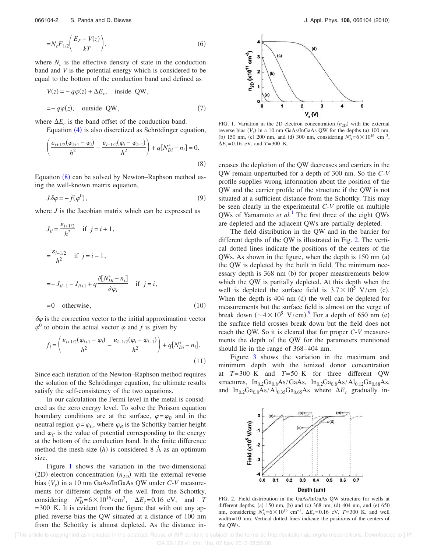$$
=N_c F_{1/2}\left(\frac{E_F - V(z)}{kT}\right),\tag{6}
$$

where  $N_c$  is the effective density of state in the conduction band and *V* is the potential energy which is considered to be equal to the bottom of the conduction band and defined as

$$
V(z) = -q\varphi(z) + \Delta E_c, \text{ inside QW},
$$
  
=  $-q\varphi(z)$ , outside QW, (7)

where  $\Delta E_c$  is the band offset of the conduction band.

Equation (4) is also discretized as Schrödinger equation,

$$
\left(\frac{\varepsilon_{i+1/2}(\varphi_{i+1} - \varphi_i)}{h^2} - \frac{\varepsilon_{i-1/2}(\varphi_i - \varphi_{i-1})}{h^2}\right) + q[N_{Di}^+ - n_i] = 0.
$$
\n(8)

Equation  $(8)$  can be solved by Newton–Raphson method using the well-known matrix equation,

$$
J\delta\varphi = -f(\varphi^0),\tag{9}
$$

where *J* is the Jacobian matrix which can be expressed as

$$
J_{ii} = \frac{\varepsilon_{i+1/2}}{h^2} \quad \text{if } j = i + 1,
$$
  

$$
= \frac{\varepsilon_{i-1/2}}{h^2} \quad \text{if } j = i - 1,
$$
  

$$
= -J_{ii-1} - J_{ii+1} + q \frac{\partial [N_{Di}^+ - n_i]}{\partial \varphi_i} \quad \text{if } j = i,
$$
  

$$
= 0 \quad \text{otherwise}, \tag{10}
$$

 $\delta\varphi$  is the correction vector to the initial approximation vector  $\varphi^0$  to obtain the actual vector  $\varphi$  and *f* is given by

$$
f_i = \left(\frac{\varepsilon_{i+1/2}(\varphi_{i+1} - \varphi_i)}{h^2} - \frac{\varepsilon_{i-1/2}(\varphi_i - \varphi_{i-1})}{h^2}\right) + q[N_{Di}^+ - n_i].
$$
\n(11)

Since each iteration of the Newton–Raphson method requires the solution of the Schrödinger equation, the ultimate results satisfy the self-consistency of the two equations.

In our calculation the Fermi level in the metal is considered as the zero energy level. To solve the Poisson equation boundary conditions are at the surface,  $\varphi = \varphi_B$  and in the neutral region  $\varphi = \varphi_C$ , where  $\varphi_B$  is the Schottky barrier height and  $\varphi_C$  is the value of potential corresponding to the energy at the bottom of the conduction band. In the finite difference method the mesh size  $(h)$  is considered 8 Å as an optimum size.

Figure 1 shows the variation in the two-dimensional (2D) electron concentration  $(n_{2D})$  with the external reverse bias  $(V_r)$  in a 10 nm GaAs/InGaAs QW under *C*-*V* measurements for different depths of the well from the Schottky, considering  $N_D^+ = 6 \times 10^{16} / \text{cm}^3$ ,  $\Delta E_c = 0.16 \text{ eV}$ , and *T*  $= 300$  K. It is evident from the figure that with out any applied reverse bias the QW situated at a distance of 100 nm from the Schottky is almost depleted. As the distance in-



FIG. 1. Variation in the 2D electron concentration  $(n_{2D})$  with the external reverse bias  $(V_r)$  in a 10 nm GaAs/InGaAs QW for the depths (a) 100 nm, (b) 150 nm, (c) 200 nm, and (d) 300 nm, considering  $N_D^+$ =6 × 10<sup>16</sup> cm<sup>-3</sup>,  $\Delta E_c = 0.16$  eV, and  $T = 300$  K.

creases the depletion of the QW decreases and carriers in the QW remain unperturbed for a depth of 300 nm. So the *C*-*V* profile supplies wrong information about the position of the QW and the carrier profile of the structure if the QW is not situated at a sufficient distance from the Schottky. This may be seen clearly in the experimental *C*-*V* profile on multiple QWs of Yamamoto *et al.*<sup>1</sup> The first three of the eight QWs are depleted and the adjacent QWs are partially depleted.

The field distribution in the QW and in the barrier for different depths of the QW is illustrated in Fig. 2. The vertical dotted lines indicate the positions of the centers of the QWs. As shown in the figure, when the depth is  $150 \text{ nm}$  (a) the QW is depleted by the built in field. The minimum necessary depth is 368 nm (b) for proper measurements below which the QW is partially depleted. At this depth when the well is depleted the surface field is  $3.7 \times 10^5$  V/cm (c). When the depth is  $404 \text{ nm}$  (d) the well can be depleted for measurements but the surface field is almost on the verge of break down  $(\sim 4 \times 10^5 \text{ V/cm})$ .<sup>9</sup> For a depth of 650 nm (e) the surface field crosses break down but the field does not reach the QW. So it is cleared that for proper *C*-*V* measurements the depth of the QW for the parameters mentioned should lie in the range of 368–404 nm.

Figure 3 shows the variation in the maximum and minimum depth with the ionized donor concentration  $T = 300$  K and  $T = 50$  K for three different QW structures,  $In<sub>0.2</sub>Ga<sub>0.8</sub>As/GaAs$ ,  $In<sub>0.2</sub>Ga<sub>0.8</sub>As/A1<sub>0.12</sub>Ga<sub>0.88</sub>As$ , and  $In_{0.2}Ga_{0.8}As/Al_{0.35}Ga_{0.65}As$  where  $\Delta E_c$  gradually in-



FIG. 2. Field distribution in the GaAs/InGaAs QW structure for wells at different depths, (a)  $150$  nm, (b) and (c)  $368$  nm, (d)  $404$  nm, and (e)  $650$ nm, considering  $N_D^+$ =6 × 10<sup>16</sup> cm<sup>-3</sup>,  $\Delta E_c$ =0.16 eV, *T*=300 K, and well width= 10 nm. Vertical dotted lines indicate the positions of the centers of the QWs.

 [This article is copyrighted as indicated in the abstract. Reuse of AIP content is subject to the terms at: http://scitation.aip.org/termsconditions. Downloaded to ] IP: 134.99.128.41 On: Thu, 07 Nov 2013 08:55:08